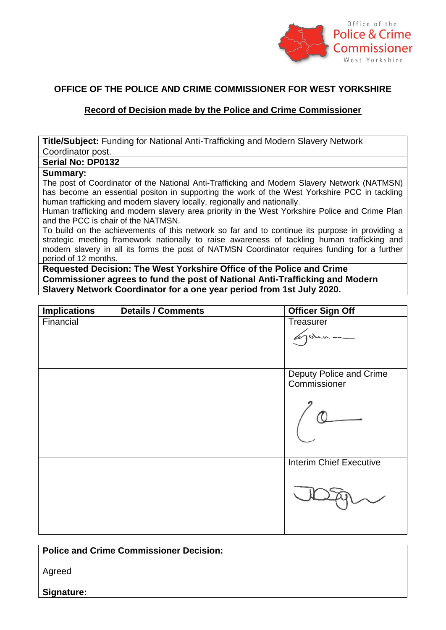

## **OFFICE OF THE POLICE AND CRIME COMMISSIONER FOR WEST YORKSHIRE**

## **Record of Decision made by the Police and Crime Commissioner**

**Title/Subject:** Funding for National Anti-Trafficking and Modern Slavery Network Coordinator post.

## **Serial No: DP0132**

## **Summary:**

The post of Coordinator of the National Anti-Trafficking and Modern Slavery Network (NATMSN) has become an essential positon in supporting the work of the West Yorkshire PCC in tackling human trafficking and modern slavery locally, regionally and nationally.

Human trafficking and modern slavery area priority in the West Yorkshire Police and Crime Plan and the PCC is chair of the NATMSN.

To build on the achievements of this network so far and to continue its purpose in providing a strategic meeting framework nationally to raise awareness of tackling human trafficking and modern slavery in all its forms the post of NATMSN Coordinator requires funding for a further period of 12 months.

**Requested Decision: The West Yorkshire Office of the Police and Crime Commissioner agrees to fund the post of National Anti-Trafficking and Modern Slavery Network Coordinator for a one year period from 1st July 2020.**

| <b>Implications</b> | <b>Details / Comments</b> | <b>Officer Sign Off</b>                 |
|---------------------|---------------------------|-----------------------------------------|
| Financial           |                           | Treasurer<br>rohn-                      |
|                     |                           | Deputy Police and Crime<br>Commissioner |
|                     |                           | <b>Interim Chief Executive</b>          |

**Police and Crime Commissioner Decision:**

Agreed

**Signature:**